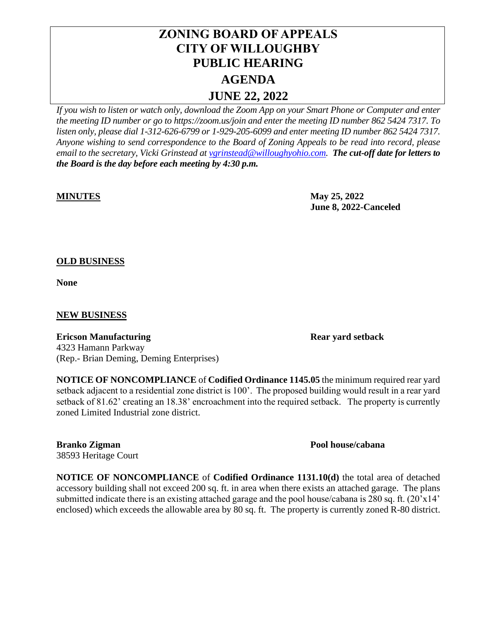# **ZONING BOARD OF APPEALS CITY OF WILLOUGHBY PUBLIC HEARING AGENDA JUNE 22, 2022**

*If you wish to listen or watch only, download the Zoom App on your Smart Phone or Computer and enter the meeting ID number or go to https://zoom.us/join and enter the meeting ID number 862 5424 7317. To listen only, please dial 1-312-626-6799 or 1-929-205-6099 and enter meeting ID number 862 5424 7317. Anyone wishing to send correspondence to the Board of Zoning Appeals to be read into record, please email to the secretary, Vicki Grinstead a[t vgrinstead@willoughyohio.com.](mailto:vgrinstead@willoughyohio.com) The cut-off date for letters to the Board is the day before each meeting by 4:30 p.m.* 

**MINUTES May 25, 2022 June 8, 2022-Canceled**

## **OLD BUSINESS**

**None**

### **NEW BUSINESS**

**Ericson Manufacturing Rear yard setback** 4323 Hamann Parkway (Rep.- Brian Deming, Deming Enterprises)

**NOTICE OF NONCOMPLIANCE** of **Codified Ordinance 1145.05** the minimum required rear yard setback adjacent to a residential zone district is 100'. The proposed building would result in a rear yard setback of 81.62' creating an 18.38' encroachment into the required setback. The property is currently zoned Limited Industrial zone district.

#### **Branko Zigman Pool house/cabana** 38593 Heritage Court

**NOTICE OF NONCOMPLIANCE** of **Codified Ordinance 1131.10(d)** the total area of detached accessory building shall not exceed 200 sq. ft. in area when there exists an attached garage. The plans submitted indicate there is an existing attached garage and the pool house/cabana is 280 sq. ft. (20'x14' enclosed) which exceeds the allowable area by 80 sq. ft. The property is currently zoned R-80 district.